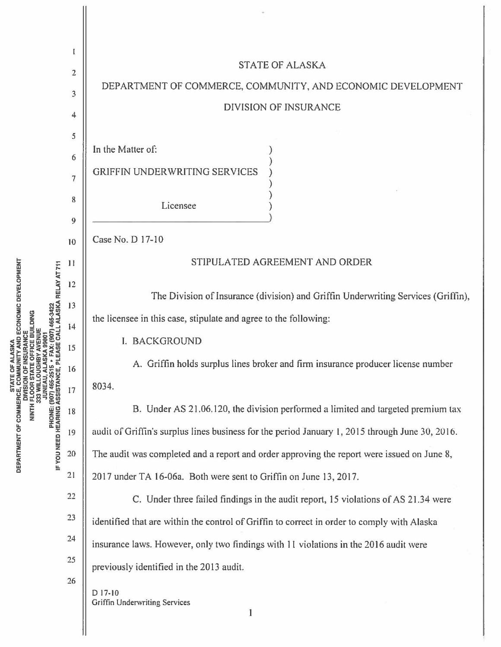

**DEPARTMENT OF COMMERCE, COMMUNITY AND ECONOMIC DEVELOPMENT** IF YOU NEED HEARING ASSISTANCE, PLEASE CALL ALASKA RELAY AT 711<br>IF YOU NEED HEARING ASSISTANCE, PLEASE CALL ALASKA RELAY AT 711 **DIVISION OF INSUPANCE<br>NINTH FLOOR STATE OFFICE BUILDING<br>333 WILLOUGHBY AVENUE** JUNEAU, ALASKA 9980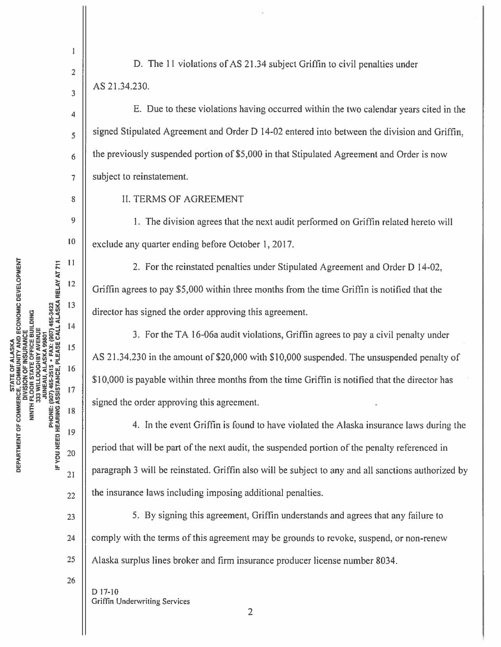$\mathbf{1}$ 2

3

4

5

6

7

8

9

to

22

23

24

25

26

D. The 11 violations of AS 21.34 subject Griffin to civil penalties under AS 21.34.230.

E. Due to these violations having occurred within the two calendar years cited in the signed Stipulated Agreement and Order D 14-02 entered into between the division and Griffin, the previously suspended portion of \$5,000 in that Stipulated Agreement and Order is now subject to reinstatement.

II. TERMS OF AGREEMENT

I. The division agrees that the next audit performed on Griffin related hereto will exclude any quarter ending before October 1, 2017.

2. For the reinstated penalties under Stipulated Agreement and Order D 14-02, Griffin agrees to pay \$5,000 within three months from the time Griffin is notified that the director has signed the order approving this agreement.

3. For the TA l 6-06a audit violations, Griffin agrees to pay a civil penalty under AS 21.34.230 in the amount of \$20,000 with \$10,000 suspended. The unsuspended penalty of \$10,000 is payable within three months from the time Griffin is notified that the director has signed the order approving this agreement.

4. In the event Griffin is found to have violated the Alaska insurance laws during the period that will be part of the next audit, the suspended portion of the penalty referenced in paragraph 3 will be reinstated. Griffin also will be subject to any and all sanctions authorized by the insurance laws including imposing additional penalties.

5. By signing this agreement, Griffin understands and agrees that any failure to comply with the terms of this agreement may be grounds to revoke, suspend, or non-renew Alaska surplus lines broker and firm insurance producer license number 8034.

D 17-10 Griffin Underwriting **Services** 

**b**<br>**E** ... 11<br>**E** ... **DEVELOP**<br> **A: MELAY**<br> **A: RELAY**<br> **A: RELAY**  $\frac{1}{2}$   $\frac{1}{3}$   $\frac{1}{3}$   $\frac{1}{3}$   $\frac{1}{3}$   $\frac{1}{3}$   $\frac{1}{3}$   $\frac{1}{3}$   $\frac{1}{3}$   $\frac{1}{3}$   $\frac{1}{3}$   $\frac{1}{3}$   $\frac{1}{3}$   $\frac{1}{3}$   $\frac{1}{3}$   $\frac{1}{3}$   $\frac{1}{3}$   $\frac{1}{3}$   $\frac{1}{3}$   $\frac{1}{3}$   $\frac{1}{3}$   $\frac{1}{3}$  <sup>0</sup>**z z** "'5 i5 *,0"'* 0 .J ., .J 14 !rlws~ ... ;::-~ **cUmzolfiu ~zZwwm- ,c<U> .,W** Ill a:u:;c ,cu, 15 5i;i"->i:2:f:. **czzOmlll • .J**  *~***<br>***~***oxing beneficially beneficially<br>assisted by a start of a start of**  $\frac{1}{2}$ **<br>** $\frac{1}{2}$ **~uQa:**<br>#uQa::d:#i **COMMERC**<br> **DIV**<br> **WITH FLC**<br> **WITH FLC**<br> **WITH & 233**<br> **WITH & 253**<br> **WITH & 253**<br> **WITH & 253**<br> **WITH & 253** <sup>~</sup>*f:5* **<sup>0</sup>:z:** 19 !z **<sup>Q</sup>** <sup>w</sup>**w <sup>w</sup>**  $\frac{1}{2}$   $\frac{1}{2}$   $\frac{20}{2}$ **BEAT**<br> **DED**<br>  $\frac{1}{21}$